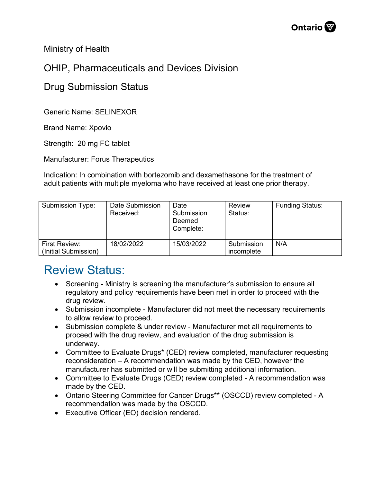Ministry of Health

## OHIP, Pharmaceuticals and Devices Division

## Drug Submission Status

Generic Name: SELINEXOR

Brand Name: Xpovio

Strength: 20 mg FC tablet

Manufacturer: Forus Therapeutics

Indication: In combination with bortezomib and dexamethasone for the treatment of adult patients with multiple myeloma who have received at least one prior therapy.

| Submission Type:                      | Date Submission<br>Received: | Date<br>Submission<br>Deemed<br>Complete: | <b>Review</b><br>Status: | <b>Funding Status:</b> |
|---------------------------------------|------------------------------|-------------------------------------------|--------------------------|------------------------|
| First Review:<br>(Initial Submission) | 18/02/2022                   | 15/03/2022                                | Submission<br>incomplete | N/A                    |

## Review Status:

- Screening Ministry is screening the manufacturer's submission to ensure all regulatory and policy requirements have been met in order to proceed with the drug review.
- Submission incomplete Manufacturer did not meet the necessary requirements to allow review to proceed.
- Submission complete & under review Manufacturer met all requirements to proceed with the drug review, and evaluation of the drug submission is underway.
- Committee to Evaluate Drugs\* (CED) review completed, manufacturer requesting reconsideration – A recommendation was made by the CED, however the manufacturer has submitted or will be submitting additional information.
- Committee to Evaluate Drugs (CED) review completed A recommendation was made by the CED.
- Ontario Steering Committee for Cancer Drugs\*\* (OSCCD) review completed A recommendation was made by the OSCCD.
- Executive Officer (EO) decision rendered.